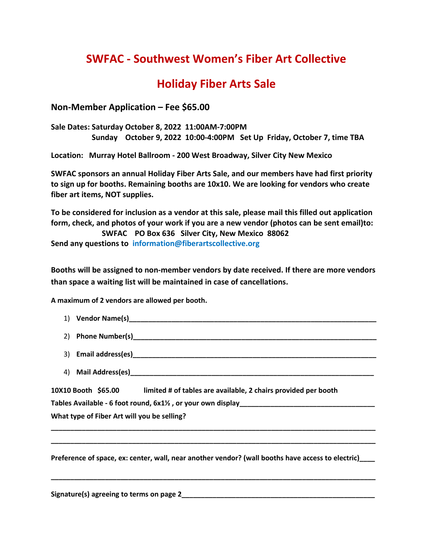## **SWFAC - Southwest Women's Fiber Art Collective**

## **Holiday Fiber Arts Sale**

**Non-Member Application – Fee \$65.00**

**Sale Dates: Saturday October 8, 2022 11:00AM-7:00PM Sunday October 9, 2022 10:00-4:00PM Set Up Friday, October 7, time TBA**

**Location: Murray Hotel Ballroom - 200 West Broadway, Silver City New Mexico**

**SWFAC sponsors an annual Holiday Fiber Arts Sale, and our members have had first priority to sign up for booths. Remaining booths are 10x10. We are looking for vendors who create fiber art items, NOT supplies.** 

**To be considered for inclusion as a vendor at this sale, please mail this filled out application form, check, and photos of your work if you are a new vendor (photos can be sent email)to: SWFAC PO Box 636 Silver City, New Mexico 88062 Send any questions to information@fiberartscollective.org**

**Booths will be assigned to non-member vendors by date received. If there are more vendors than space a waiting list will be maintained in case of cancellations.** 

**A maximum of 2 vendors are allowed per booth.**

| 2)                                          |                                                                                       |
|---------------------------------------------|---------------------------------------------------------------------------------------|
|                                             |                                                                                       |
|                                             |                                                                                       |
|                                             | 10X10 Booth \$65.00<br>limited # of tables are available, 2 chairs provided per booth |
|                                             |                                                                                       |
| What type of Fiber Art will you be selling? |                                                                                       |
|                                             |                                                                                       |

**Preference of space, ex: center, wall, near another vendor? (wall booths have access to electric)\_\_\_\_**

**\_\_\_\_\_\_\_\_\_\_\_\_\_\_\_\_\_\_\_\_\_\_\_\_\_\_\_\_\_\_\_\_\_\_\_\_\_\_\_\_\_\_\_\_\_\_\_\_\_\_\_\_\_\_\_\_\_\_\_\_\_\_\_\_\_\_\_\_\_\_\_\_\_\_\_\_\_\_\_\_\_\_\_\_**

**\_\_\_\_\_\_\_\_\_\_\_\_\_\_\_\_\_\_\_\_\_\_\_\_\_\_\_\_\_\_\_\_\_\_\_\_\_\_\_\_\_\_\_\_\_\_\_\_\_\_\_\_\_\_\_\_\_\_\_\_\_\_\_\_\_\_\_\_\_\_\_\_\_\_\_\_\_\_\_\_\_\_\_\_**

Signature(s) agreeing to terms on page 2 **and 2** and 2 and 2 and 2 and 2 and 2 and 2 and 2 and 2 and 2 and 2 and 2 and 2 and 2 and 2 and 2 and 2 and 2 and 2 and 2 and 2 and 2 and 2 and 2 and 2 and 2 and 2 and 2 and 2 and 2